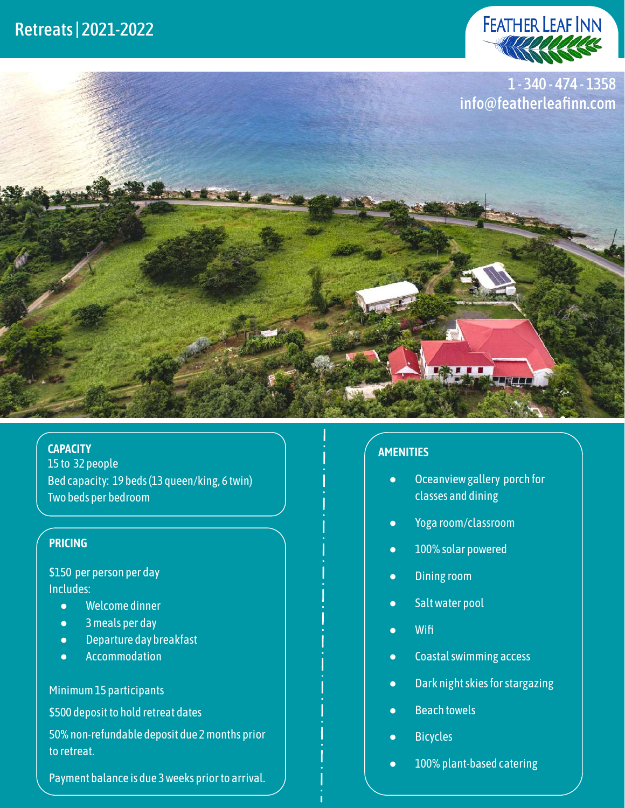



#### **CAPACITY**

15 to 32 people Bed capacity: 19 beds (13 queen/king, 6 twin) Two beds per bedroom

## **PRICING**

\$150 per person per day Includes:

- Welcome dinner
- 3 meals per day
- Departure day breakfast
- Accommodation

### Minimum 15 participants

\$500 deposit to hold retreat dates

50% non-refundable deposit due 2 months prior to retreat.

Payment balance is due 3 weeks prior to arrival.

## **AMENITIES**

- Oceanview gallery porch for classes and dining
- Yoga room/classroom
- 100% solar powered
- Dining room
- Salt water pool
- Wifi
- Coastal swimming access
- Dark night skies for stargazing
- Beach towels
- Bicycles
- 100% plant-based catering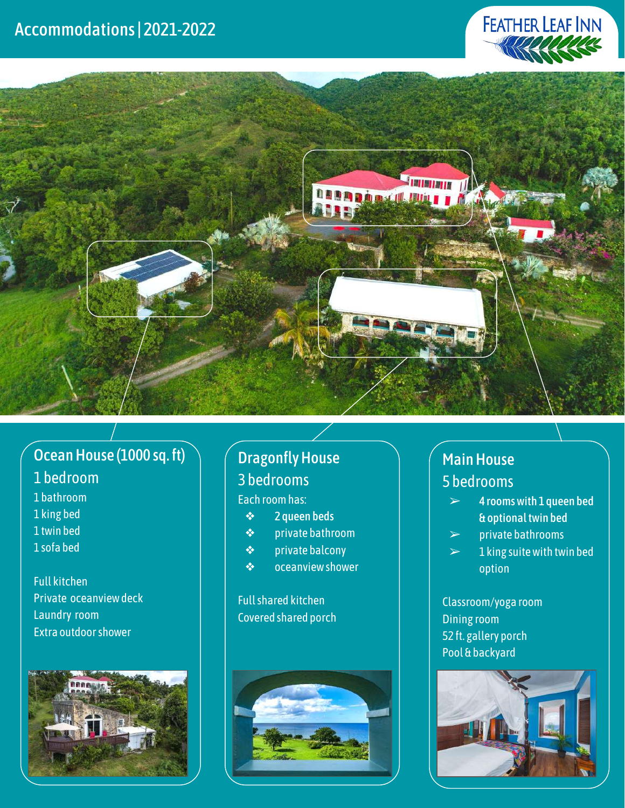



# Ocean House (1000 sq. ft)

## 1 bedroom

- 1 bathroom 1 king bed
- 1 twin bed
- 1 sofa bed
- 

Full kitchen Private oceanview deck Laundry room Extra outdoor shower



## Dragonfly House 3 bedrooms

## Each room has:

❖ 2 queen beds

- ❖ private bathroom
- ❖ private balcony
- ❖ oceanview shower

## Full shared kitchen Covered shared porch



# Main House 5 bedrooms

- $\geq$  4 rooms with 1 queen bed & optional twin bed
- $\triangleright$  private bathrooms
- $> 1$  king suite with twin bed option

Classroom/yoga room Dining room 52 ft. gallery porch Pool & backyard